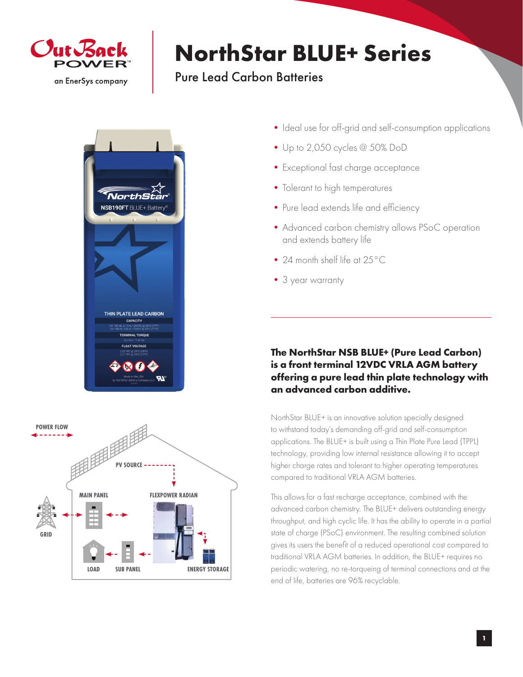

## **NorthStar BLUE+ Series**

## Pure Lead Carbon Batteries





- Ideal use for off-grid and self-consumption applications
- •Up to 2,050 cycles @ 50% DoD
- •Exceptional fast charge acceptance
- Tolerant to high temperatures
- Pure lead extends life and efficiency
- •Advanced carbon chemistry allows PSoC operation and extends battery life
- 24 month shelf life at 25°C
- •3 year warranty

## **The NorthStar NSB BLUE+ (Pure Lead Carbon) is a front terminal 12VDC VRLA AGM battery offering a pure lead thin plate technology with an advanced carbon additive.**

NorthStar BLUE+ is an innovative solution specially designed to withstand today's demanding off-grid and self-consumption applications. The BLUE+ is built using a Thin Plate Pure Lead (TPPL) technology, providing low internal resistance allowing it to accept higher charge rates and tolerant to higher operating temperatures compared to traditional VRLA AGM batteries.

This allows for a fast recharge acceptance, combined with the advanced carbon chemistry. The BLUE+ delivers outstanding energy throughput, and high cyclic life. It has the ability to operate in a partial state of charge (PSoC) environment. The resulting combined solution gives its users the benefit of a reduced operational cost compared to traditional VRLA AGM batteries. In addition, the BLUE+ requires no periodic watering, no re-torqueing of terminal connections and at the end of life, batteries are 96% recyclable.